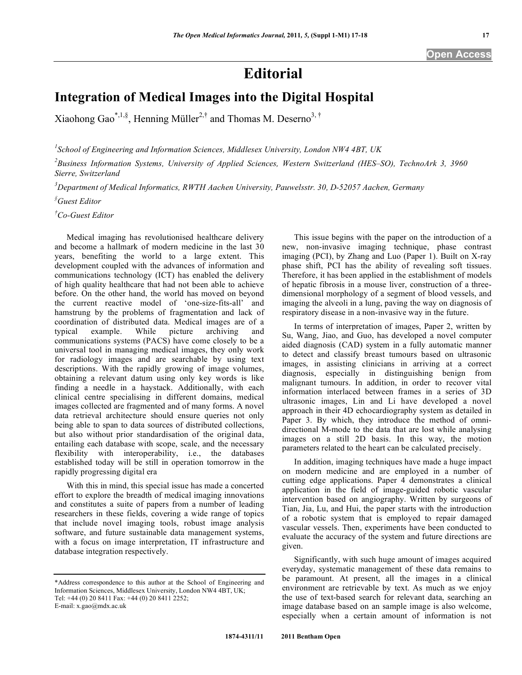## **Editorial**

## **Integration of Medical Images into the Digital Hospital**

Xiaohong Gao<sup>\*,1,§</sup>, Henning Müller<sup>2,†</sup> and Thomas M. Deserno<sup>3,†</sup>

*1 School of Engineering and Information Sciences, Middlesex University, London NW4 4BT, UK* 

*2 Business Information Systems, University of Applied Sciences, Western Switzerland (HES–SO), TechnoArk 3, 3960 Sierre, Switzerland* 

*3 Department of Medical Informatics, RWTH Aachen University, Pauwelsstr. 30, D-52057 Aachen, Germany* 

*§ Guest Editor* 

*† Co-Guest Editor* 

 Medical imaging has revolutionised healthcare delivery and become a hallmark of modern medicine in the last 30 years, benefiting the world to a large extent. This development coupled with the advances of information and communications technology (ICT) has enabled the delivery of high quality healthcare that had not been able to achieve before. On the other hand, the world has moved on beyond the current reactive model of 'one-size-fits-all' and hamstrung by the problems of fragmentation and lack of coordination of distributed data. Medical images are of a typical example. While picture archiving and communications systems (PACS) have come closely to be a universal tool in managing medical images, they only work for radiology images and are searchable by using text descriptions. With the rapidly growing of image volumes, obtaining a relevant datum using only key words is like finding a needle in a haystack. Additionally, with each clinical centre specialising in different domains, medical images collected are fragmented and of many forms. A novel data retrieval architecture should ensure queries not only being able to span to data sources of distributed collections, but also without prior standardisation of the original data, entailing each database with scope, scale, and the necessary flexibility with interoperability, i.e., the databases established today will be still in operation tomorrow in the rapidly progressing digital era

 With this in mind, this special issue has made a concerted effort to explore the breadth of medical imaging innovations and constitutes a suite of papers from a number of leading researchers in these fields, covering a wide range of topics that include novel imaging tools, robust image analysis software, and future sustainable data management systems, with a focus on image interpretation, IT infrastructure and database integration respectively.

E-mail: x.gao@mdx.ac.uk

 This issue begins with the paper on the introduction of a new, non-invasive imaging technique, phase contrast imaging (PCI), by Zhang and Luo (Paper 1). Built on X-ray phase shift, PCI has the ability of revealing soft tissues. Therefore, it has been applied in the establishment of models of hepatic fibrosis in a mouse liver, construction of a threedimensional morphology of a segment of blood vessels, and imaging the alveoli in a lung, paving the way on diagnosis of respiratory disease in a non-invasive way in the future.

 In terms of interpretation of images, Paper 2, written by Su, Wang, Jiao, and Guo, has developed a novel computer aided diagnosis (CAD) system in a fully automatic manner to detect and classify breast tumours based on ultrasonic images, in assisting clinicians in arriving at a correct diagnosis, especially in distinguishing benign from malignant tumours. In addition, in order to recover vital information interlaced between frames in a series of 3D ultrasonic images, Lin and Li have developed a novel approach in their 4D echocardiography system as detailed in Paper 3. By which, they introduce the method of omnidirectional M-mode to the data that are lost while analysing images on a still 2D basis. In this way, the motion parameters related to the heart can be calculated precisely.

 In addition, imaging techniques have made a huge impact on modern medicine and are employed in a number of cutting edge applications. Paper 4 demonstrates a clinical application in the field of image-guided robotic vascular intervention based on angiography. Written by surgeons of Tian, Jia, Lu, and Hui, the paper starts with the introduction of a robotic system that is employed to repair damaged vascular vessels. Then, experiments have been conducted to evaluate the accuracy of the system and future directions are given.

 Significantly, with such huge amount of images acquired everyday, systematic management of these data remains to be paramount. At present, all the images in a clinical environment are retrievable by text. As much as we enjoy the use of text-based search for relevant data, searching an image database based on an sample image is also welcome, especially when a certain amount of information is not

<sup>\*</sup>Address correspondence to this author at the School of Engineering and Information Sciences, Middlesex University, London NW4 4BT, UK; Tel: +44 (0) 20 8411 Fax: +44 (0) 20 8411 2252;